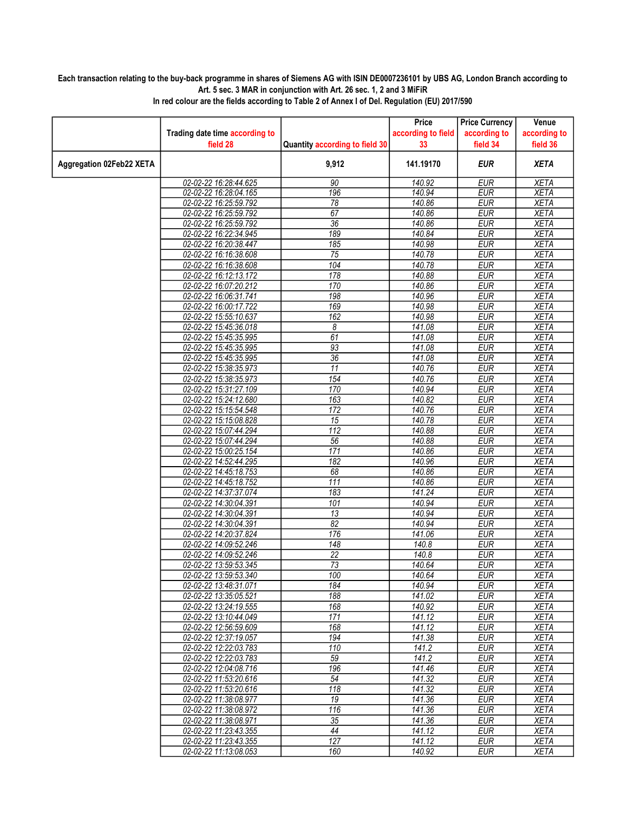## Each transaction relating to the buy-back programme in shares of Siemens AG with ISIN DE0007236101 by UBS AG, London Branch according to Art. 5 sec. 3 MAR in conjunction with Art. 26 sec. 1, 2 and 3 MiFiR

|                                 |                                                |                                | Price               | <b>Price Currency</b> | Venue               |
|---------------------------------|------------------------------------------------|--------------------------------|---------------------|-----------------------|---------------------|
|                                 | Trading date time according to                 |                                | according to field  | according to          | according to        |
|                                 | field 28                                       | Quantity according to field 30 | 33                  | field 34              | field 36            |
| <b>Aggregation 02Feb22 XETA</b> |                                                | 9,912                          | 141.19170           | <b>EUR</b>            | <b>XETA</b>         |
|                                 | 02-02-22 16:28:44.625                          | 90                             | 140.92              | <b>EUR</b>            | <b>XETA</b>         |
|                                 | 02-02-22 16:28:04.165                          | 196                            | 140.94              | <b>EUR</b>            | <b>XETA</b>         |
|                                 | 02-02-22 16:25:59.792                          | 78                             | 140.86              | <b>EUR</b>            | <b>XETA</b>         |
|                                 | 02-02-22 16:25:59.792                          | 67                             | 140.86              | <b>EUR</b>            | <b>XETA</b>         |
|                                 | 02-02-22 16:25:59.792                          | $\overline{36}$                | 140.86              | <b>EUR</b>            | <b>XETA</b>         |
|                                 | 02-02-22 16:22:34.945                          | 189                            | 140.84              | <b>EUR</b>            | <b>XETA</b>         |
|                                 | 02-02-22 16:20:38.447                          | 185                            | 140.98              | <b>EUR</b>            | <b>XETA</b>         |
|                                 | 02-02-22 16:16:38.608                          | 75                             | 140.78              | <b>EUR</b>            | <b>XETA</b>         |
|                                 | 02-02-22 16:16:38.608                          | 104                            | 140.78              | <b>EUR</b>            | <b>XETA</b>         |
|                                 | 02-02-22 16:12:13.172                          | 178                            | 140.88              | <b>EUR</b>            | <b>XETA</b>         |
|                                 | 02-02-22 16:07:20.212                          | 170                            | 140.86              | <b>EUR</b>            | <b>XETA</b>         |
|                                 | 02-02-22 16:06:31.741                          | 198                            | 140.96              | <b>EUR</b>            | <b>XETA</b>         |
|                                 | 02-02-22 16:00:17.722                          | 169                            | 140.98              | <b>EUR</b>            | <b>XETA</b>         |
|                                 | 02-02-22 15:55:10.637                          | 162                            | 140.98              | <b>EUR</b>            | <b>XETA</b>         |
|                                 | 02-02-22 15:45:36.018                          | $\boldsymbol{\delta}$          | 141.08              | <b>EUR</b>            | <b>XETA</b>         |
|                                 | 02-02-22 15:45:35.995                          | 61                             | 141.08              | <b>EUR</b>            | <b>XETA</b>         |
|                                 | 02-02-22 15:45:35.995                          | 93                             | 141.08              | <b>EUR</b>            | <b>XETA</b>         |
|                                 | 02-02-22 15:45:35.995                          | $\overline{36}$                | 141.08              | <b>EUR</b>            | <b>XETA</b>         |
|                                 | 02-02-22 15:38:35.973                          | 11                             | 140.76              | <b>EUR</b>            | <b>XETA</b>         |
|                                 | 02-02-22 15:38:35.973                          | 154                            | 140.76              | <b>EUR</b>            | <b>XETA</b>         |
|                                 | 02-02-22 15:31:27.109                          | 170                            | 140.94              | <b>EUR</b>            | <b>XETA</b>         |
|                                 | 02-02-22 15:24:12.680                          | 163                            | 140.82              | <b>EUR</b>            | <b>XETA</b>         |
|                                 | 02-02-22 15:15:54.548                          | 172                            | 140.76              | <b>EUR</b>            | <b>XETA</b>         |
|                                 | 02-02-22 15:15:08.828                          | $\overline{15}$                | 140.78              | <b>EUR</b>            | <b>XETA</b>         |
|                                 | 02-02-22 15:07:44.294                          | $\overline{112}$               | 140.88              | <b>EUR</b>            | <b>XETA</b>         |
|                                 | 02-02-22 15:07:44.294                          | $\overline{56}$                | 140.88              | <b>EUR</b>            | <b>XETA</b>         |
|                                 | 02-02-22 15:00:25.154                          | 171                            | 140.86              | <b>EUR</b>            | <b>XETA</b>         |
|                                 | 02-02-22 14:52:44.295                          | 182                            | 140.96              | <b>EUR</b>            | <b>XETA</b>         |
|                                 | 02-02-22 14:45:18.753                          | 68                             | 140.86              | <b>EUR</b>            | <b>XETA</b>         |
|                                 | 02-02-22 14:45:18.752                          | 111                            | 140.86              | <b>EUR</b>            | <b>XETA</b>         |
|                                 | 02-02-22 14:37:37.074                          | 183                            | 141.24              | <b>EUR</b>            | <b>XETA</b>         |
|                                 | 02-02-22 14:30:04.391                          | 101                            | 140.94              | <b>EUR</b>            | <b>XETA</b>         |
|                                 | 02-02-22 14:30:04.391                          | $\overline{13}$                | 140.94              | <b>EUR</b>            | <b>XETA</b>         |
|                                 | 02-02-22 14:30:04.391                          | $\overline{82}$                | 140.94              | <b>EUR</b>            | <b>XETA</b>         |
|                                 | 02-02-22 14:20:37.824                          | 176                            | 141.06              | <b>EUR</b>            | <b>XETA</b>         |
|                                 | 02-02-22 14:09:52.246                          | 148                            | 140.8               | <b>EUR</b>            | <b>XETA</b>         |
|                                 | 02-02-22 14:09:52.246                          | 22                             | 140.8               | <b>EUR</b>            | <b>XETA</b>         |
|                                 | 02-02-22 13:59:53.345                          | 73                             | 140.64              | <b>EUR</b>            | XETA                |
|                                 | 02-02-22 13:59:53.340                          | 100                            | 140.64              | <b>EUR</b>            | <b>XETA</b>         |
|                                 | 02-02-22 13:48:31.071                          | 184                            | 140.94              | EUR                   | <b>XETA</b>         |
|                                 | 02-02-22 13:35:05.521<br>02-02-22 13:24:19.555 | 188<br>168                     | 141.02<br>140.92    | EUR<br><b>EUR</b>     | XETA<br><b>XETA</b> |
|                                 | 02-02-22 13:10:44.049                          | 171                            | 141.12              | <b>EUR</b>            | <b>XETA</b>         |
|                                 | 02-02-22 12:56:59.609                          | 168                            | 141.12              | EUR                   | <b>XETA</b>         |
|                                 | 02-02-22 12:37:19.057                          | 194                            | 141.38              | <b>EUR</b>            | <b>XETA</b>         |
|                                 | 02-02-22 12:22:03.783                          | 110                            | 141.2               | <b>EUR</b>            | <b>XETA</b>         |
|                                 |                                                | 59                             | 141.2               | EUR                   |                     |
|                                 | 02-02-22 12:22:03.783<br>02-02-22 12:04:08.716 | 196                            | 141.46              | <b>EUR</b>            | XETA<br><b>XETA</b> |
|                                 | 02-02-22 11:53:20.616                          | $\overline{54}$                | 141.32              | <b>EUR</b>            | <b>XETA</b>         |
|                                 | 02-02-22 11:53:20.616                          | 118                            | 141.32              | <b>EUR</b>            | <b>XETA</b>         |
|                                 | 02-02-22 11:38:08.977                          | 19                             | 141.36              | <b>EUR</b>            | <b>XETA</b>         |
|                                 | 02-02-22 11:38:08.972                          | 116                            | 141.36              | <b>EUR</b>            | <b>XETA</b>         |
|                                 | 02-02-22 11:38:08.971                          | 35                             | $\overline{141.36}$ | EUR                   | <b>XETA</b>         |
|                                 | 02-02-22 11:23:43.355                          | 44                             | 141.12              | <b>EUR</b>            | <b>XETA</b>         |
|                                 | 02-02-22 11:23:43.355                          | 127                            | 141.12              | <b>EUR</b>            | <b>XETA</b>         |
|                                 | 02-02-22 11:13:08.053                          | 160                            | 140.92              | <b>EUR</b>            | <b>XETA</b>         |
|                                 |                                                |                                |                     |                       |                     |

In red colour are the fields according to Table 2 of Annex I of Del. Regulation (EU) 2017/590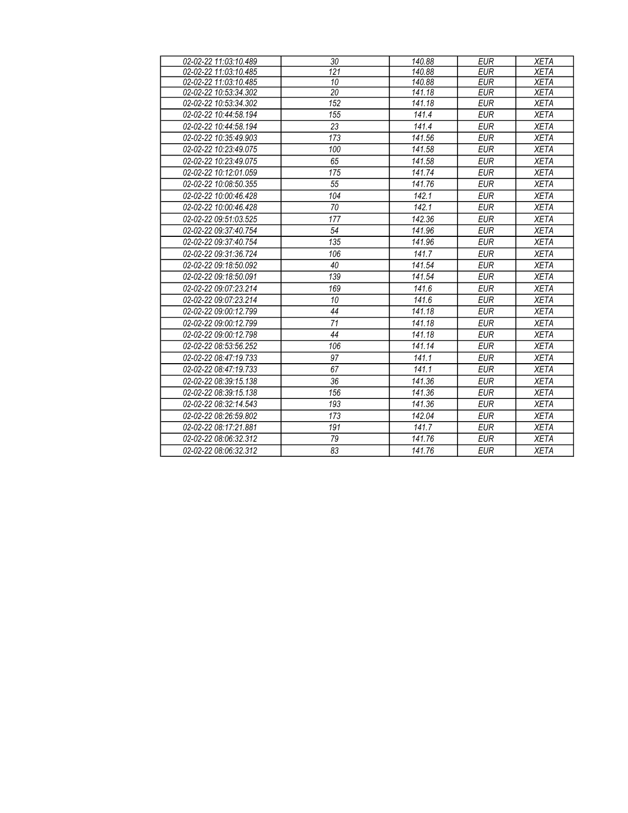| 02-02-22 11:03:10.489 | 30              | 140.88             | EUR        | XETA        |
|-----------------------|-----------------|--------------------|------------|-------------|
| 02-02-22 11:03:10.485 | 121             | 140.88             | <b>EUR</b> | <b>XETA</b> |
| 02-02-22 11:03:10.485 | 10              | 140.88             | <b>EUR</b> | <b>XETA</b> |
| 02-02-22 10:53:34.302 | $\overline{20}$ | 141.18             | <b>EUR</b> | <b>XETA</b> |
| 02-02-22 10:53:34.302 | 152             | 141.18             | <b>EUR</b> | <b>XETA</b> |
| 02-02-22 10:44:58.194 | 155             | 141.4              | <b>EUR</b> | <b>XETA</b> |
| 02-02-22 10:44:58.194 | 23              | 141.4              | <b>EUR</b> | <b>XETA</b> |
| 02-02-22 10:35:49.903 | 173             | 141.56             | <b>EUR</b> | <b>XETA</b> |
| 02-02-22 10:23:49.075 | 100             | 141.58             | <b>EUR</b> | <b>XETA</b> |
| 02-02-22 10:23:49.075 | 65              | 141.58             | <b>EUR</b> | <b>XETA</b> |
| 02-02-22 10:12:01.059 | 175             | 141.74             | <b>EUR</b> | <b>XETA</b> |
| 02-02-22 10:08:50.355 | $\overline{55}$ | 141.76             | <b>EUR</b> | <b>XETA</b> |
| 02-02-22 10:00:46.428 | 104             | 142.1              | <b>EUR</b> | <b>XETA</b> |
| 02-02-22 10:00:46.428 | 70              | 142.1              | <b>EUR</b> | <b>XETA</b> |
| 02-02-22 09:51:03.525 | 177             | 142.36             | <b>EUR</b> | <b>XETA</b> |
| 02-02-22 09:37:40.754 | 54              | 141.96             | <b>EUR</b> | <b>XETA</b> |
| 02-02-22 09:37:40.754 | 135             | 141.96             | <b>EUR</b> | <b>XETA</b> |
| 02-02-22 09:31:36.724 | 106             | 141.7              | <b>EUR</b> | <b>XETA</b> |
| 02-02-22 09:18:50.092 | 40              | 141.54             | <b>EUR</b> | <b>XETA</b> |
| 02-02-22 09:18:50.091 | 139             | 141.54             | <b>EUR</b> | <b>XETA</b> |
| 02-02-22 09:07:23.214 | 169             | 141.6              | <b>EUR</b> | <b>XETA</b> |
| 02-02-22 09:07:23.214 | 10              | $\overline{141.6}$ | <b>EUR</b> | <b>XETA</b> |
| 02-02-22 09:00:12.799 | 44              | 141.18             | <b>EUR</b> | <b>XETA</b> |
| 02-02-22 09:00:12.799 | $\overline{71}$ | 141.18             | <b>EUR</b> | <b>XETA</b> |
| 02-02-22 09:00:12.798 | 44              | 141.18             | <b>EUR</b> | <b>XETA</b> |
| 02-02-22 08:53:56.252 | 106             | 141.14             | <b>EUR</b> | <b>XETA</b> |
| 02-02-22 08:47:19.733 | 97              | 141.1              | <b>EUR</b> | <b>XETA</b> |
| 02-02-22 08:47:19.733 | 67              | 141.1              | <b>EUR</b> | <b>XETA</b> |
| 02-02-22 08:39:15.138 | 36              | 141.36             | <b>EUR</b> | <b>XETA</b> |
| 02-02-22 08:39:15.138 | 156             | 141.36             | <b>EUR</b> | <b>XETA</b> |
| 02-02-22 08:32:14.543 | 193             | 141.36             | <b>EUR</b> | <b>XETA</b> |
| 02-02-22 08:26:59.802 | 173             | 142.04             | <b>EUR</b> | <b>XETA</b> |
| 02-02-22 08:17:21.881 | 191             | 141.7              | <b>EUR</b> | <b>XETA</b> |
| 02-02-22 08:06:32.312 | 79              | 141.76             | <b>EUR</b> | <b>XETA</b> |
| 02-02-22 08:06:32.312 | 83              | 141.76             | <b>EUR</b> | <b>XETA</b> |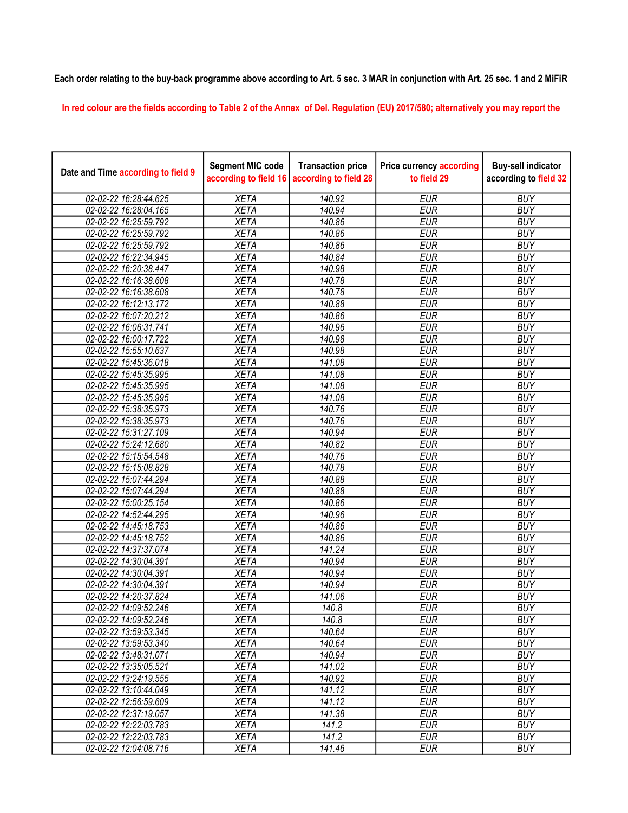## Each order relating to the buy-back programme above according to Art. 5 sec. 3 MAR in conjunction with Art. 25 sec. 1 and 2 MiFiR

In red colour are the fields according to Table 2 of the Annex of Del. Regulation (EU) 2017/580; alternatively you may report the

| Date and Time according to field 9 | <b>Segment MIC code</b><br>according to field 16 | <b>Transaction price</b><br>according to field 28 | <b>Price currency according</b><br>to field 29 | <b>Buy-sell indicator</b><br>according to field 32 |
|------------------------------------|--------------------------------------------------|---------------------------------------------------|------------------------------------------------|----------------------------------------------------|
| 02-02-22 16:28:44.625              | <b>XETA</b>                                      | 140.92                                            | <b>EUR</b>                                     | <b>BUY</b>                                         |
| 02-02-22 16:28:04.165              | <b>XETA</b>                                      | 140.94                                            | <b>EUR</b>                                     | <b>BUY</b>                                         |
| 02-02-22 16:25:59.792              | <b>XETA</b>                                      | 140.86                                            | <b>EUR</b>                                     | <b>BUY</b>                                         |
| 02-02-22 16:25:59.792              | <b>XETA</b>                                      | 140.86                                            | <b>EUR</b>                                     | <b>BUY</b>                                         |
| 02-02-22 16:25:59.792              | <b>XETA</b>                                      | 140.86                                            | <b>EUR</b>                                     | <b>BUY</b>                                         |
| 02-02-22 16:22:34.945              | <b>XETA</b>                                      | 140.84                                            | <b>EUR</b>                                     | <b>BUY</b>                                         |
| 02-02-22 16:20:38.447              | <b>XETA</b>                                      | 140.98                                            | <b>EUR</b>                                     | <b>BUY</b>                                         |
| 02-02-22 16:16:38.608              | <b>XETA</b>                                      | 140.78                                            | <b>EUR</b>                                     | <b>BUY</b>                                         |
| 02-02-22 16:16:38.608              | <b>XETA</b>                                      | 140.78                                            | <b>EUR</b>                                     | <b>BUY</b>                                         |
| 02-02-22 16:12:13.172              | <b>XETA</b>                                      | 140.88                                            | <b>EUR</b>                                     | <b>BUY</b>                                         |
| 02-02-22 16:07:20.212              | <b>XETA</b>                                      | 140.86                                            | <b>EUR</b>                                     | <b>BUY</b>                                         |
| 02-02-22 16:06:31.741              | <b>XETA</b>                                      | 140.96                                            | <b>EUR</b>                                     | <b>BUY</b>                                         |
| 02-02-22 16:00:17.722              | <b>XETA</b>                                      | 140.98                                            | <b>EUR</b>                                     | <b>BUY</b>                                         |
| 02-02-22 15:55:10.637              | <b>XETA</b>                                      | 140.98                                            | <b>EUR</b>                                     | <b>BUY</b>                                         |
| 02-02-22 15:45:36.018              | <b>XETA</b>                                      | 141.08                                            | <b>EUR</b>                                     | <b>BUY</b>                                         |
| 02-02-22 15:45:35.995              | <b>XETA</b>                                      | 141.08                                            | <b>EUR</b>                                     | <b>BUY</b>                                         |
| 02-02-22 15:45:35.995              | <b>XETA</b>                                      | 141.08                                            | <b>EUR</b>                                     | <b>BUY</b>                                         |
| 02-02-22 15:45:35.995              | <b>XETA</b>                                      | 141.08                                            | <b>EUR</b>                                     | <b>BUY</b>                                         |
| 02-02-22 15:38:35.973              | <b>XETA</b>                                      | 140.76                                            | <b>EUR</b>                                     | <b>BUY</b>                                         |
| 02-02-22 15:38:35.973              | <b>XETA</b>                                      | 140.76                                            | <b>EUR</b>                                     | <b>BUY</b>                                         |
| 02-02-22 15:31:27.109              | <b>XETA</b>                                      | 140.94                                            | <b>EUR</b>                                     | <b>BUY</b>                                         |
| 02-02-22 15:24:12.680              | <b>XETA</b>                                      | 140.82                                            | <b>EUR</b>                                     | <b>BUY</b>                                         |
| 02-02-22 15:15:54.548              | <b>XETA</b>                                      | 140.76                                            | <b>EUR</b>                                     | <b>BUY</b>                                         |
| 02-02-22 15:15:08.828              | <b>XETA</b>                                      | 140.78                                            | <b>EUR</b>                                     | <b>BUY</b>                                         |
| 02-02-22 15:07:44.294              | <b>XETA</b>                                      | 140.88                                            | <b>EUR</b>                                     | <b>BUY</b>                                         |
| 02-02-22 15:07:44.294              | <b>XETA</b>                                      | 140.88                                            | <b>EUR</b>                                     | <b>BUY</b>                                         |
| 02-02-22 15:00:25.154              | <b>XETA</b>                                      | 140.86                                            | <b>EUR</b>                                     | <b>BUY</b>                                         |
| 02-02-22 14:52:44.295              | <b>XETA</b>                                      | 140.96                                            | <b>EUR</b>                                     | <b>BUY</b>                                         |
| 02-02-22 14:45:18.753              | <b>XETA</b>                                      | 140.86                                            | <b>EUR</b>                                     | <b>BUY</b>                                         |
| 02-02-22 14:45:18.752              | <b>XETA</b>                                      | 140.86                                            | <b>EUR</b>                                     | <b>BUY</b>                                         |
| 02-02-22 14:37:37.074              | <b>XETA</b>                                      | 141.24                                            | <b>EUR</b>                                     | <b>BUY</b>                                         |
| 02-02-22 14:30:04.391              | <b>XETA</b>                                      | 140.94                                            | <b>EUR</b>                                     | <b>BUY</b>                                         |
| 02-02-22 14:30:04.391              | <b>XETA</b>                                      | 140.94                                            | <b>EUR</b>                                     | <b>BUY</b>                                         |
| 02-02-22 14:30:04.391              | <b>XETA</b>                                      | 140.94                                            | <b>EUR</b>                                     | <b>BUY</b>                                         |
| 02-02-22 14:20:37.824              | <b>XETA</b>                                      | 141.06                                            | <b>EUR</b>                                     | <b>BUY</b>                                         |
| 02-02-22 14:09:52.246              | <b>XETA</b>                                      | 140.8                                             | <b>EUR</b>                                     | <b>BUY</b>                                         |
| 02-02-22 14:09:52.246              | <b>XETA</b>                                      | 140.8                                             | <b>EUR</b>                                     | <b>BUY</b>                                         |
| 02-02-22 13:59:53.345              | <b>XETA</b>                                      | 140.64                                            | <b>EUR</b>                                     | <b>BUY</b>                                         |
| 02-02-22 13:59:53.340              | <b>XETA</b>                                      | 140.64                                            | <b>EUR</b>                                     | <b>BUY</b>                                         |
| 02-02-22 13:48:31.071              | <b>XETA</b>                                      | 140.94                                            | <b>EUR</b>                                     | <b>BUY</b>                                         |
| 02-02-22 13:35:05.521              | <b>XETA</b>                                      | 141.02                                            | <b>EUR</b>                                     | <b>BUY</b>                                         |
| 02-02-22 13:24:19.555              | <b>XETA</b>                                      | 140.92                                            | <b>EUR</b>                                     | <b>BUY</b>                                         |
| 02-02-22 13:10:44.049              | <b>XETA</b>                                      | 141.12                                            | <b>EUR</b>                                     | <b>BUY</b>                                         |
| 02-02-22 12:56:59.609              | <b>XETA</b>                                      | 141.12                                            | <b>EUR</b>                                     | <b>BUY</b>                                         |
| 02-02-22 12:37:19.057              | <b>XETA</b>                                      | 141.38                                            | <b>EUR</b>                                     | <b>BUY</b>                                         |
| 02-02-22 12:22:03.783              | <b>XETA</b>                                      | 141.2                                             | <b>EUR</b>                                     | <b>BUY</b>                                         |
| 02-02-22 12:22:03.783              | <b>XETA</b>                                      | 141.2                                             | <b>EUR</b>                                     | <b>BUY</b>                                         |
| 02-02-22 12:04:08.716              | <b>XETA</b>                                      | 141.46                                            | <b>EUR</b>                                     | <b>BUY</b>                                         |